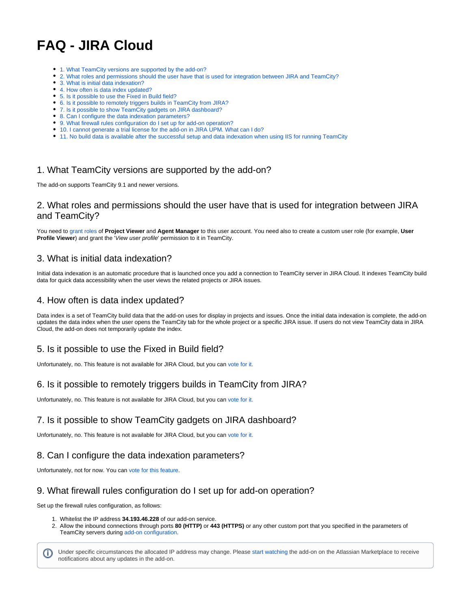# **FAQ - JIRA Cloud**

- [1. What TeamCity versions are supported by the add-on?](#page-0-0)
- [2. What roles and permissions should the user have that is used for integration between JIRA and TeamCity?](#page-0-1)
- [3. What is initial data indexation?](#page-0-2)
- [4. How often is data index updated?](#page-0-3)
- [5. Is it possible to use the Fixed in Build field?](#page-0-4)
- [6. Is it possible to remotely triggers builds in TeamCity from JIRA?](#page-0-5)
- [7. Is it possible to show TeamCity gadgets on JIRA dashboard?](#page-0-6)
- [8. Can I configure the data indexation parameters?](#page-0-7)
- [9. What firewall rules configuration do I set up for add-on operation?](#page-0-8) [10. I cannot generate a trial license for the add-on in JIRA UPM. What can I do?](#page-0-9)
- [11. No build data is available after the successful setup and data indexation when using IIS for running TeamCity](#page-1-0)

# <span id="page-0-0"></span>1. What TeamCity versions are supported by the add-on?

The add-on supports TeamCity 9.1 and newer versions.

#### <span id="page-0-1"></span>2. What roles and permissions should the user have that is used for integration between JIRA and TeamCity?

You need to [grant roles](https://confluence.jetbrains.com/display/TCD9/Role+and+Permission) of **Project Viewer** and **Agent Manager** to this user account. You need also to create a custom user role (for example, **User Profile Viewer**) and grant the 'View user profile' permission to it in TeamCity.

### <span id="page-0-2"></span>3. What is initial data indexation?

Initial data indexation is an automatic procedure that is launched once you add a connection to TeamCity server in JIRA Cloud. It indexes TeamCity build data for quick data accessibility when the user views the related projects or JIRA issues.

## <span id="page-0-3"></span>4. How often is data index updated?

Data index is a set of TeamCity build data that the add-on uses for display in projects and issues. Once the initial data indexation is complete, the add-on updates the data index when the user opens the TeamCity tab for the whole project or a specific JIRA issue. If users do not view TeamCity data in JIRA Cloud, the add-on does not temporarily update the index.

# <span id="page-0-4"></span>5. Is it possible to use the Fixed in Build field?

Unfortunately, no. This feature is not available for JIRA Cloud, but you can [vote for it.](https://stiltsoft.customercase.com/forums/teamcity-integration-for-jira/ideas/45050-add-a-capability-to-use-the-fixed-in-build-field)

# <span id="page-0-5"></span>6. Is it possible to remotely triggers builds in TeamCity from JIRA?

Unfortunately, no. This feature is not available for JIRA Cloud, but you can [vote for it.](https://stiltsoft.customercase.com/forums/teamcity-integration-for-jira/ideas/45050-add-a-capability-to-use-the-fixed-in-build-fielhttps://stiltsoft.customercase.com/forums/teamcity-integration-for-jira/ideas/22301-add-a-capability-to-remotely-trigger-builds-in-teamcity)

# <span id="page-0-6"></span>7. Is it possible to show TeamCity gadgets on JIRA dashboard?

Unfortunately, no. This feature is not available for JIRA Cloud, but you can [vote for it.](https://stiltsoft.customercase.com/forums/teamcity-integration-for-jira/ideas/45051-add-a-capability-to-show-teamcity-gadgets-on-jira-dashboard)

#### <span id="page-0-7"></span>8. Can I configure the data indexation parameters?

Unfortunately, not for now. You can [vote for this feature.](https://stiltsoft.customercase.com/forums/teamcity-integration-for-jira/ideas/22300-add-a-capability-to-configure-data-indexation-parameters)

### <span id="page-0-8"></span>9. What firewall rules configuration do I set up for add-on operation?

Set up the firewall rules configuration, as follows:

- 1. Whitelist the IP address **34.193.46.228** of our add-on service.
- 2. Allow the inbound connections through ports **80 (HTTP)** or **443 (HTTPS)** or any other custom port that you specified in the parameters of TeamCity servers during [add-on configuration](https://docs.stiltsoft.com/display/JTC/Getting+Started+with+Cloud+Version).

<span id="page-0-9"></span>Under specific circumstances the allocated IP address may change. Please [start watching](https://marketplace.atlassian.com/plugins/com.stiltsoft.jira.teamcity/versions) the add-on on the Atlassian Marketplace to receive (i) notifications about any updates in the add-on.